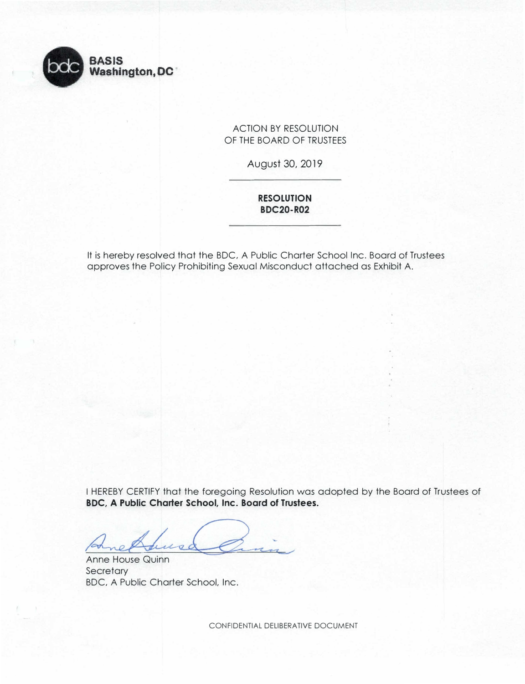ACTION BY RESOLUTION OF THE BOARD OF TRUSTEES

August 30, 2019

**RESOLUTION BDC20-R02** 

It is hereby resolved that the BOC, A Public Charter School Inc. Board of Trustees approves the Policy Prohibiting Sexual Misconduct attached as Exhibit A.



I HEREBY CERTIFY that the foregoing Resolution was adopted by the Board of Trustees of **BOC, A Public Charter School, Inc. Board of Trustees.** 

Anne House Quinn **Secretary** BOC, A Public Charter School, Inc.

CONFIDENTIAL DELIBERATIVE DOCUMENT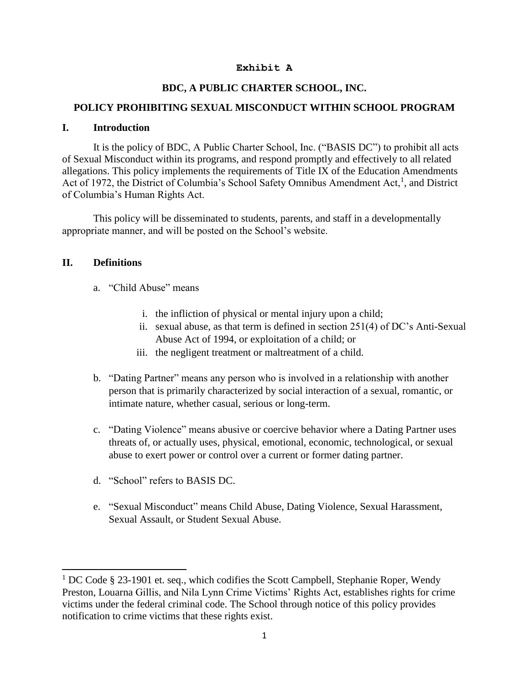#### **Exhibit A**

# **BDC, A PUBLIC CHARTER SCHOOL, INC.**

## **POLICY PROHIBITING SEXUAL MISCONDUCT WITHIN SCHOOL PROGRAM**

### **I. Introduction**

It is the policy of BDC, A Public Charter School, Inc. ("BASIS DC") to prohibit all acts of Sexual Misconduct within its programs, and respond promptly and effectively to all related allegations. This policy implements the requirements of Title IX of the Education Amendments Act of 1972, the District of Columbia's School Safety Omnibus Amendment Act,<sup>1</sup>, and District of Columbia's Human Rights Act.

This policy will be disseminated to students, parents, and staff in a developmentally appropriate manner, and will be posted on the School's website.

## **II. Definitions**

l

- a. "Child Abuse" means
	- i. the infliction of physical or mental injury upon a child;
	- ii. sexual abuse, as that term is defined in section 251(4) of DC's Anti-Sexual Abuse Act of 1994, or exploitation of a child; or
	- iii. the negligent treatment or maltreatment of a child.
- b. "Dating Partner" means any person who is involved in a relationship with another person that is primarily characterized by social interaction of a sexual, romantic, or intimate nature, whether casual, serious or long-term.
- c. "Dating Violence" means abusive or coercive behavior where a Dating Partner uses threats of, or actually uses, physical, emotional, economic, technological, or sexual abuse to exert power or control over a current or former dating partner.
- d. "School" refers to BASIS DC.
- e. "Sexual Misconduct" means Child Abuse, Dating Violence, Sexual Harassment, Sexual Assault, or Student Sexual Abuse.

 $1 \text{ DC Code }$  § 23-1901 et. seq., which codifies the Scott Campbell, Stephanie Roper, Wendy Preston, Louarna Gillis, and Nila Lynn Crime Victims' Rights Act, establishes rights for crime victims under the federal criminal code. The School through notice of this policy provides notification to crime victims that these rights exist.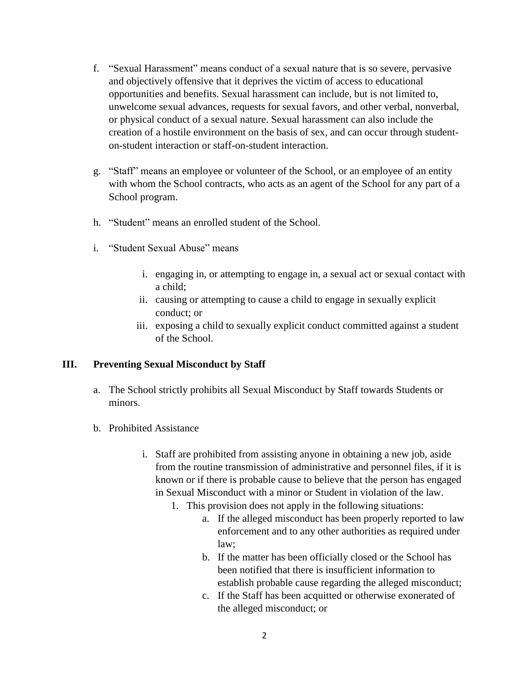- f. "Sexual Harassment" means conduct of a sexual nature that is so severe, pervasive and objectively offensive that it deprives the victim of access to educational opportunities and benefits. Sexual harassment can include, but is not limited to, unwelcome sexual advances, requests for sexual favors, and other verbal, nonverbal, or physical conduct of a sexual nature. Sexual harassment can also include the creation of a hostile environment on the basis of sex, and can occur through studenton-student interaction or staff-on-student interaction.
- with whom the School contracts, who acts as an agent of the School for any part of a g. "Staff" means an employee or volunteer of the School, or an employee of an entity School program.
- h. "Student" means an enrolled student of the School.
- i. "Student Sexual Abuse" means
	- i. engaging in, or attempting to engage in, a sexual act or sexual contact with a child;
	- ii. causing or attempting to cause a child to engage in sexually explicit conduct; or
	- iii. exposing a child to sexually explicit conduct committed against a student of the School.

### **III. Preventing Sexual Misconduct by Staff**

- a. The School strictly prohibits all Sexual Misconduct by Staff towards Students or minors.
- b. Prohibited Assistance
	- i. Staff are prohibited from assisting anyone in obtaining a new job, aside from the routine transmission of administrative and personnel files, if it is known or if there is probable cause to believe that the person has engaged in Sexual Misconduct with a minor or Student in violation of the law.
		- 1. This provision does not apply in the following situations:
			- a. If the alleged misconduct has been properly reported to law enforcement and to any other authorities as required under law;
			- b. If the matter has been officially closed or the School has been notified that there is insufficient information to establish probable cause regarding the alleged misconduct;
			- c. If the Staff has been acquitted or otherwise exonerated of the alleged misconduct; or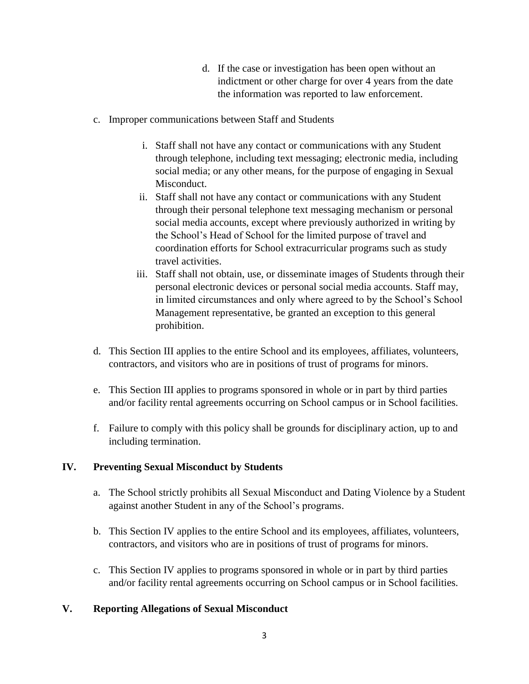- d. If the case or investigation has been open without an indictment or other charge for over 4 years from the date the information was reported to law enforcement.
- c. Improper communications between Staff and Students
	- i. Staff shall not have any contact or communications with any Student through telephone, including text messaging; electronic media, including social media; or any other means, for the purpose of engaging in Sexual Misconduct.
	- ii. Staff shall not have any contact or communications with any Student through their personal telephone text messaging mechanism or personal social media accounts, except where previously authorized in writing by the School's Head of School for the limited purpose of travel and coordination efforts for School extracurricular programs such as study travel activities.
	- iii. Staff shall not obtain, use, or disseminate images of Students through their personal electronic devices or personal social media accounts. Staff may, in limited circumstances and only where agreed to by the School's School Management representative, be granted an exception to this general prohibition.
- d. This Section III applies to the entire School and its employees, affiliates, volunteers, contractors, and visitors who are in positions of trust of programs for minors.
- e. This Section III applies to programs sponsored in whole or in part by third parties and/or facility rental agreements occurring on School campus or in School facilities.
- f. Failure to comply with this policy shall be grounds for disciplinary action, up to and including termination.

# **IV. Preventing Sexual Misconduct by Students**

- a. The School strictly prohibits all Sexual Misconduct and Dating Violence by a Student against another Student in any of the School's programs.
- b. This Section IV applies to the entire School and its employees, affiliates, volunteers, contractors, and visitors who are in positions of trust of programs for minors.
- c. This Section IV applies to programs sponsored in whole or in part by third parties and/or facility rental agreements occurring on School campus or in School facilities.

# **V. Reporting Allegations of Sexual Misconduct**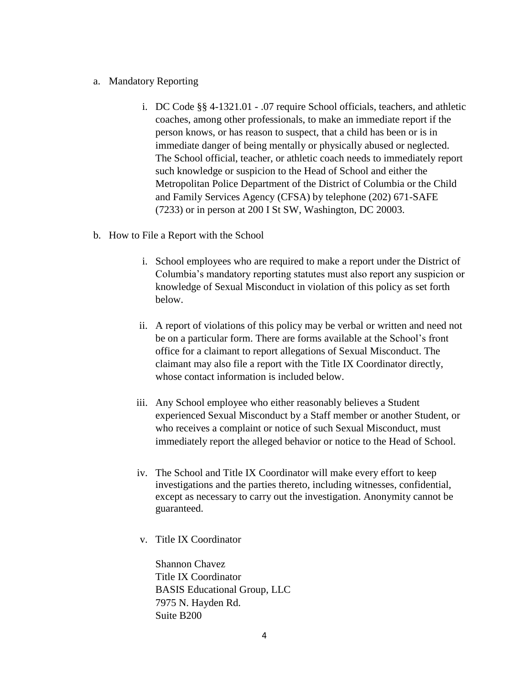#### a. Mandatory Reporting

- i. DC Code §§ [4-1321.01](https://4-1321.01) .07 require School officials, teachers, and athletic coaches, among other professionals, to make an immediate report if the person knows, or has reason to suspect, that a child has been or is in immediate danger of being mentally or physically abused or neglected. The School official, teacher, or athletic coach needs to immediately report such knowledge or suspicion to the Head of School and either the Metropolitan Police Department of the District of Columbia or the Child and Family Services Agency (CFSA) by telephone (202) 671-SAFE (7233) or in person at 200 I St SW, Washington, DC 20003.
- b. How to File a Report with the School
	- i. School employees who are required to make a report under the District of Columbia's mandatory reporting statutes must also report any suspicion or knowledge of Sexual Misconduct in violation of this policy as set forth below.
	- be on a particular form. There are forms available at the School's front ii. A report of violations of this policy may be verbal or written and need not office for a claimant to report allegations of Sexual Misconduct. The claimant may also file a report with the Title IX Coordinator directly, whose contact information is included below.
	- iii. Any School employee who either reasonably believes a Student experienced Sexual Misconduct by a Staff member or another Student, or who receives a complaint or notice of such Sexual Misconduct, must immediately report the alleged behavior or notice to the Head of School.
	- iv. The School and Title IX Coordinator will make every effort to keep investigations and the parties thereto, including witnesses, confidential, except as necessary to carry out the investigation. Anonymity cannot be guaranteed.
	- v. Title IX Coordinator

Shannon Chavez Title IX Coordinator BASIS Educational Group, LLC 7975 N. Hayden Rd. Suite B200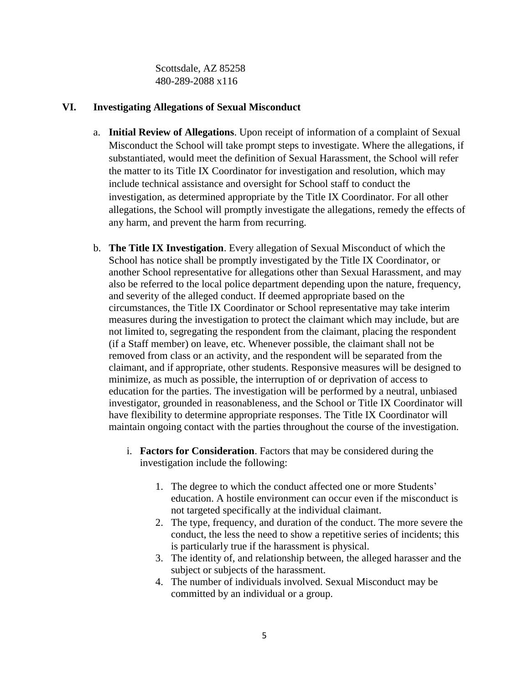Scottsdale, AZ 85258 480-289-2088 x116

### **VI. Investigating Allegations of Sexual Misconduct**

- a. **Initial Review of Allegations**. Upon receipt of information of a complaint of Sexual Misconduct the School will take prompt steps to investigate. Where the allegations, if substantiated, would meet the definition of Sexual Harassment, the School will refer the matter to its Title IX Coordinator for investigation and resolution, which may include technical assistance and oversight for School staff to conduct the investigation, as determined appropriate by the Title IX Coordinator. For all other allegations, the School will promptly investigate the allegations, remedy the effects of any harm, and prevent the harm from recurring.
- School has notice shall be promptly investigated by the Title IX Coordinator, or circumstances, the Title IX Coordinator or School representative may take interim b. **The Title IX Investigation**. Every allegation of Sexual Misconduct of which the another School representative for allegations other than Sexual Harassment, and may also be referred to the local police department depending upon the nature, frequency, and severity of the alleged conduct. If deemed appropriate based on the measures during the investigation to protect the claimant which may include, but are not limited to, segregating the respondent from the claimant, placing the respondent (if a Staff member) on leave, etc. Whenever possible, the claimant shall not be removed from class or an activity, and the respondent will be separated from the claimant, and if appropriate, other students. Responsive measures will be designed to minimize, as much as possible, the interruption of or deprivation of access to education for the parties. The investigation will be performed by a neutral, unbiased investigator, grounded in reasonableness, and the School or Title IX Coordinator will have flexibility to determine appropriate responses. The Title IX Coordinator will maintain ongoing contact with the parties throughout the course of the investigation.
	- i. **Factors for Consideration**. Factors that may be considered during the investigation include the following:
		- 1. The degree to which the conduct affected one or more Students' education. A hostile environment can occur even if the misconduct is not targeted specifically at the individual claimant.
		- 2. The type, frequency, and duration of the conduct. The more severe the conduct, the less the need to show a repetitive series of incidents; this is particularly true if the harassment is physical.
		- 3. The identity of, and relationship between, the alleged harasser and the subject or subjects of the harassment.
		- 4. The number of individuals involved. Sexual Misconduct may be committed by an individual or a group.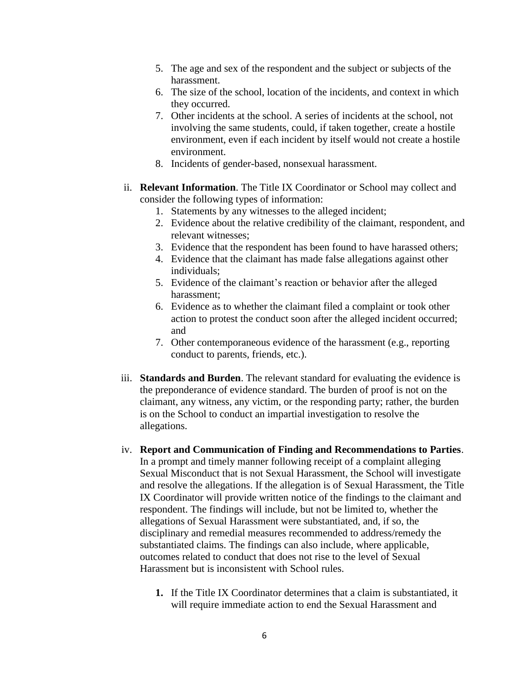- 5. The age and sex of the respondent and the subject or subjects of the harassment.
- 6. The size of the school, location of the incidents, and context in which they occurred.
- 7. Other incidents at the school. A series of incidents at the school, not involving the same students, could, if taken together, create a hostile environment, even if each incident by itself would not create a hostile environment.
- 8. Incidents of gender-based, nonsexual harassment.
- ii. **Relevant Information**. The Title IX Coordinator or School may collect and consider the following types of information:
	- 1. Statements by any witnesses to the alleged incident;
	- 2. Evidence about the relative credibility of the claimant, respondent, and relevant witnesses;
	- 3. Evidence that the respondent has been found to have harassed others;
	- 4. Evidence that the claimant has made false allegations against other individuals;
	- 5. Evidence of the claimant's reaction or behavior after the alleged harassment;
	- 6. Evidence as to whether the claimant filed a complaint or took other action to protest the conduct soon after the alleged incident occurred; and
	- 7. Other contemporaneous evidence of the harassment (e.g., reporting conduct to parents, friends, etc.).
- iii. **Standards and Burden**. The relevant standard for evaluating the evidence is the preponderance of evidence standard. The burden of proof is not on the claimant, any witness, any victim, or the responding party; rather, the burden is on the School to conduct an impartial investigation to resolve the allegations.
- iv. **Report and Communication of Finding and Recommendations to Parties**. In a prompt and timely manner following receipt of a complaint alleging Sexual Misconduct that is not Sexual Harassment, the School will investigate and resolve the allegations. If the allegation is of Sexual Harassment, the Title IX Coordinator will provide written notice of the findings to the claimant and respondent. The findings will include, but not be limited to, whether the allegations of Sexual Harassment were substantiated, and, if so, the disciplinary and remedial measures recommended to address/remedy the substantiated claims. The findings can also include, where applicable, outcomes related to conduct that does not rise to the level of Sexual Harassment but is inconsistent with School rules.
	- **1.** If the Title IX Coordinator determines that a claim is substantiated, it will require immediate action to end the Sexual Harassment and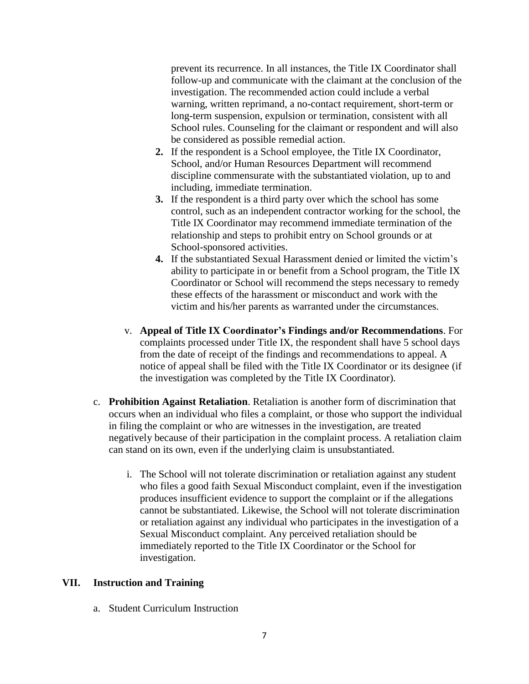prevent its recurrence. In all instances, the Title IX Coordinator shall follow-up and communicate with the claimant at the conclusion of the investigation. The recommended action could include a verbal warning, written reprimand, a no-contact requirement, short-term or long-term suspension, expulsion or termination, consistent with all School rules. Counseling for the claimant or respondent and will also be considered as possible remedial action.

- **2.** If the respondent is a School employee, the Title IX Coordinator, School, and/or Human Resources Department will recommend discipline commensurate with the substantiated violation, up to and including, immediate termination.
- **3.** If the respondent is a third party over which the school has some control, such as an independent contractor working for the school, the Title IX Coordinator may recommend immediate termination of the relationship and steps to prohibit entry on School grounds or at School-sponsored activities.
- **4.** If the substantiated Sexual Harassment denied or limited the victim's ability to participate in or benefit from a School program, the Title IX Coordinator or School will recommend the steps necessary to remedy these effects of the harassment or misconduct and work with the victim and his/her parents as warranted under the circumstances.
- notice of appeal shall be filed with the Title IX Coordinator or its designee (if v. **Appeal of Title IX Coordinator's Findings and/or Recommendations**. For complaints processed under Title IX, the respondent shall have 5 school days from the date of receipt of the findings and recommendations to appeal. A the investigation was completed by the Title IX Coordinator).
- c. **Prohibition Against Retaliation**. Retaliation is another form of discrimination that occurs when an individual who files a complaint, or those who support the individual in filing the complaint or who are witnesses in the investigation, are treated negatively because of their participation in the complaint process. A retaliation claim can stand on its own, even if the underlying claim is unsubstantiated.
	- or retaliation against any individual who participates in the investigation of a i. The School will not tolerate discrimination or retaliation against any student who files a good faith Sexual Misconduct complaint, even if the investigation produces insufficient evidence to support the complaint or if the allegations cannot be substantiated. Likewise, the School will not tolerate discrimination Sexual Misconduct complaint. Any perceived retaliation should be immediately reported to the Title IX Coordinator or the School for investigation.

# **VII. Instruction and Training**

a. Student Curriculum Instruction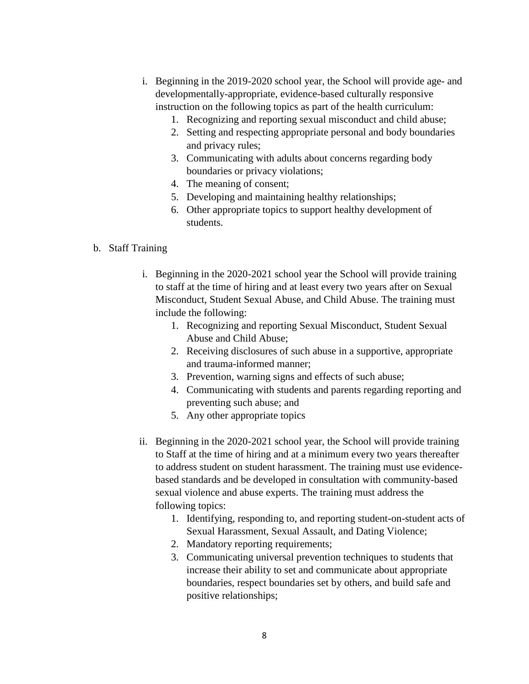- developmentally-appropriate, evidence-based culturally responsive i. Beginning in the 2019-2020 school year, the School will provide age- and instruction on the following topics as part of the health curriculum:
	- 1. Recognizing and reporting sexual misconduct and child abuse;
	- 2. Setting and respecting appropriate personal and body boundaries and privacy rules;
	- 3. Communicating with adults about concerns regarding body boundaries or privacy violations;
	- 4. The meaning of consent;
	- 5. Developing and maintaining healthy relationships;
	- 6. Other appropriate topics to support healthy development of students.

### b. Staff Training

- i. Beginning in the 2020-2021 school year the School will provide training to staff at the time of hiring and at least every two years after on Sexual Misconduct, Student Sexual Abuse, and Child Abuse. The training must include the following:
	- 1. Recognizing and reporting Sexual Misconduct, Student Sexual Abuse and Child Abuse;
	- 2. Receiving disclosures of such abuse in a supportive, appropriate and trauma-informed manner;
	- 3. Prevention, warning signs and effects of such abuse;
	- 4. Communicating with students and parents regarding reporting and preventing such abuse; and
	- 5. Any other appropriate topics
- ii. Beginning in the 2020-2021 school year, the School will provide training to Staff at the time of hiring and at a minimum every two years thereafter to address student on student harassment. The training must use evidencebased standards and be developed in consultation with community-based sexual violence and abuse experts. The training must address the following topics:
	- 1. Identifying, responding to, and reporting student-on-student acts of Sexual Harassment, Sexual Assault, and Dating Violence;
	- 2. Mandatory reporting requirements;
	- 3. Communicating universal prevention techniques to students that increase their ability to set and communicate about appropriate boundaries, respect boundaries set by others, and build safe and positive relationships;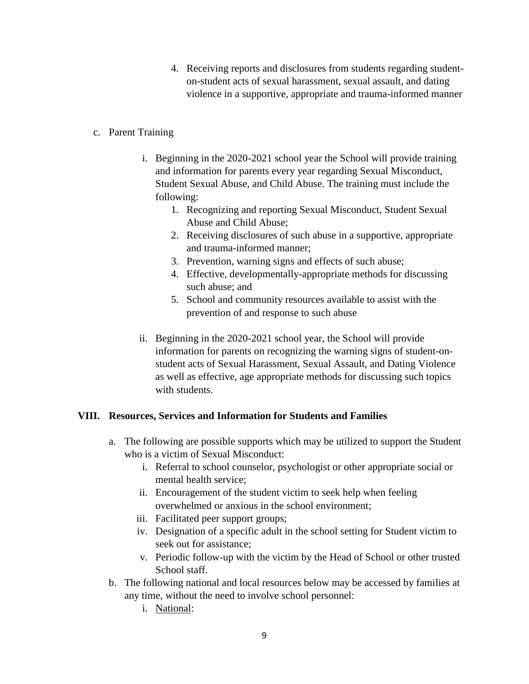- 4. Receiving reports and disclosures from students regarding studenton-student acts of sexual harassment, sexual assault, and dating violence in a supportive, appropriate and trauma-informed manner
- c. Parent Training
	- i. Beginning in the 2020-2021 school year the School will provide training and information for parents every year regarding Sexual Misconduct, Student Sexual Abuse, and Child Abuse. The training must include the following:
		- 1. Recognizing and reporting Sexual Misconduct, Student Sexual Abuse and Child Abuse;
		- 2. Receiving disclosures of such abuse in a supportive, appropriate and trauma-informed manner;
		- 3. Prevention, warning signs and effects of such abuse;
		- 4. Effective, developmentally-appropriate methods for discussing such abuse; and
		- 5. School and community resources available to assist with the prevention of and response to such abuse
	- ii. Beginning in the 2020-2021 school year, the School will provide information for parents on recognizing the warning signs of student-onstudent acts of Sexual Harassment, Sexual Assault, and Dating Violence as well as effective, age appropriate methods for discussing such topics with students.

# **VIII. Resources, Services and Information for Students and Families**

- a. The following are possible supports which may be utilized to support the Student who is a victim of Sexual Misconduct:
	- i. Referral to school counselor, psychologist or other appropriate social or mental health service;
	- ii. Encouragement of the student victim to seek help when feeling overwhelmed or anxious in the school environment;
	- iii. Facilitated peer support groups;
	- iv. Designation of a specific adult in the school setting for Student victim to seek out for assistance;
	- v. Periodic follow-up with the victim by the Head of School or other trusted School staff.
- b. The following national and local resources below may be accessed by families at any time, without the need to involve school personnel:
	- i. National: